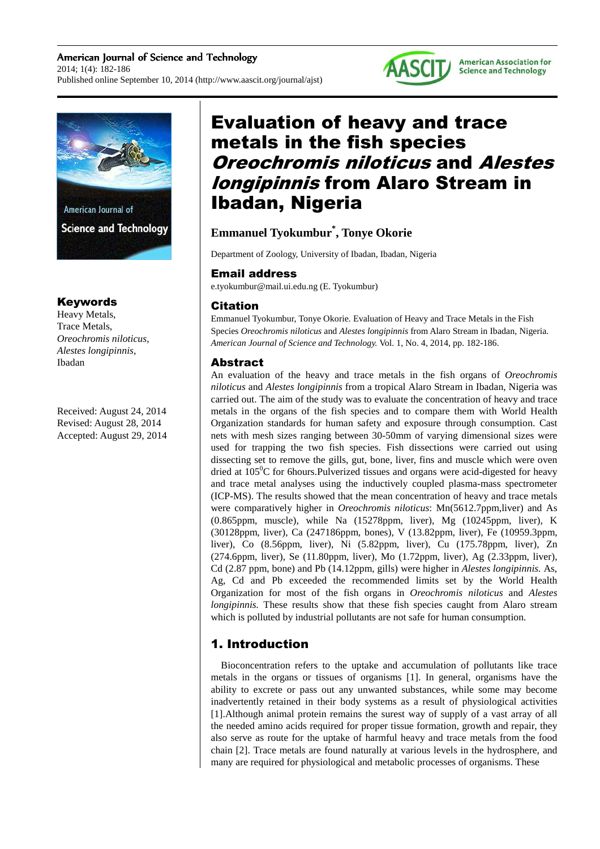American Journal of Science and Technology 2014; 1(4): 182-186 Published online September 10, 2014 (http://www.aascit.org/journal/ajst)





**Science and Technology** 

## Keywords

Heavy Metals, Trace Metals, *Oreochromis niloticus*, *Alestes longipinnis*, Ibadan

Received: August 24, 2014 Revised: August 28, 2014 Accepted: August 29, 2014

# Evaluation of heavy and trace metals in the fish species Oreochromis niloticus and Alestes *Iongipinnis* from Alaro Stream in Ibadan, Nigeria

## **Emmanuel Tyokumbur\* , Tonye Okorie**

Department of Zoology, University of Ibadan, Ibadan, Nigeria

## Email address

e.tyokumbur@mail.ui.edu.ng (E. Tyokumbur)

## Citation

Emmanuel Tyokumbur, Tonye Okorie. Evaluation of Heavy and Trace Metals in the Fish Species *Oreochromis niloticus* and *Alestes longipinnis* from Alaro Stream in Ibadan, Nigeria. *American Journal of Science and Technology.* Vol. 1, No. 4, 2014, pp. 182-186.

## Abstract

An evaluation of the heavy and trace metals in the fish organs of *Oreochromis niloticus* and *Alestes longipinnis* from a tropical Alaro Stream in Ibadan, Nigeria was carried out. The aim of the study was to evaluate the concentration of heavy and trace metals in the organs of the fish species and to compare them with World Health Organization standards for human safety and exposure through consumption. Cast nets with mesh sizes ranging between 30-50mm of varying dimensional sizes were used for trapping the two fish species. Fish dissections were carried out using dissecting set to remove the gills, gut, bone, liver, fins and muscle which were oven dried at  $105^{\circ}$ C for 6 hours. Pulverized tissues and organs were acid-digested for heavy and trace metal analyses using the inductively coupled plasma-mass spectrometer (ICP-MS). The results showed that the mean concentration of heavy and trace metals were comparatively higher in *Oreochromis niloticus*: Mn(5612.7ppm,liver) and As (0.865ppm, muscle), while Na (15278ppm, liver), Mg (10245ppm, liver), K (30128ppm, liver), Ca (247186ppm, bones), V (13.82ppm, liver), Fe (10959.3ppm, liver), Co (8.56ppm, liver), Ni (5.82ppm, liver), Cu (175.78ppm, liver), Zn (274.6ppm, liver), Se (11.80ppm, liver), Mo (1.72ppm, liver), Ag (2.33ppm, liver), Cd (2.87 ppm, bone) and Pb (14.12ppm, gills) were higher in *Alestes longipinnis.* As, Ag, Cd and Pb exceeded the recommended limits set by the World Health Organization for most of the fish organs in *Oreochromis niloticus* and *Alestes longipinnis.* These results show that these fish species caught from Alaro stream which is polluted by industrial pollutants are not safe for human consumption.

# 1. Introduction

Bioconcentration refers to the uptake and accumulation of pollutants like trace metals in the organs or tissues of organisms [1]. In general, organisms have the ability to excrete or pass out any unwanted substances, while some may become inadvertently retained in their body systems as a result of physiological activities [1].Although animal protein remains the surest way of supply of a vast array of all the needed amino acids required for proper tissue formation, growth and repair, they also serve as route for the uptake of harmful heavy and trace metals from the food chain [2]. Trace metals are found naturally at various levels in the hydrosphere, and many are required for physiological and metabolic processes of organisms. These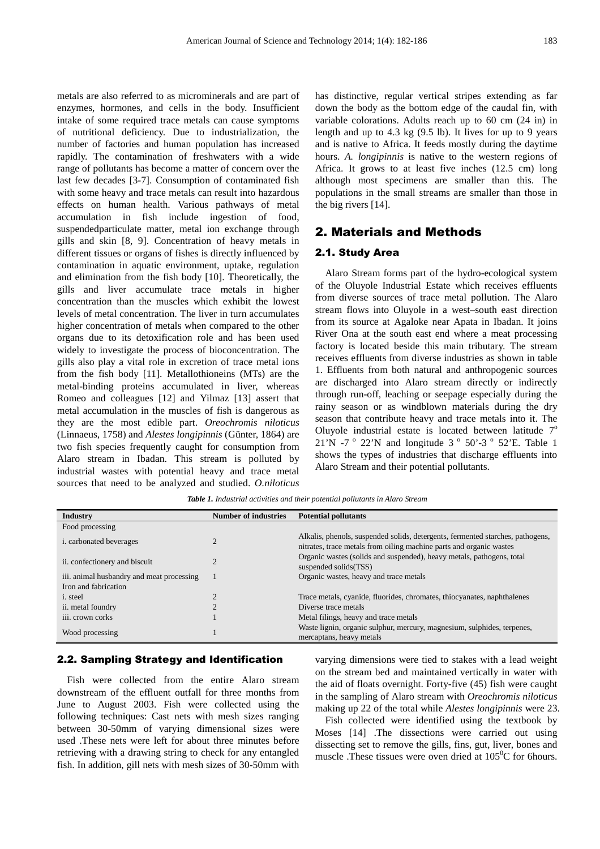metals are also referred to as microminerals and are part of enzymes, hormones, and cells in the body. Insufficient intake of some required trace metals can cause symptoms of nutritional deficiency. Due to industrialization, the number of factories and human population has increased rapidly. The contamination of freshwaters with a wide range of pollutants has become a matter of concern over the last few decades [3-7]. Consumption of contaminated fish with some heavy and trace metals can result into hazardous effects on human health. Various pathways of metal accumulation in fish include ingestion of food, suspendedparticulate matter, metal ion exchange through gills and skin [8, 9]. Concentration of heavy metals in different tissues or organs of fishes is directly influenced by contamination in aquatic environment, uptake, regulation and elimination from the fish body [10]. Theoretically, the gills and liver accumulate trace metals in higher concentration than the muscles which exhibit the lowest levels of metal concentration. The liver in turn accumulates higher concentration of metals when compared to the other organs due to its detoxification role and has been used widely to investigate the process of bioconcentration. The gills also play a vital role in excretion of trace metal ions from the fish body [11]. Metallothioneins (MTs) are the metal-binding proteins accumulated in liver, whereas Romeo and colleagues [12] and Yilmaz [13] assert that metal accumulation in the muscles of fish is dangerous as they are the most edible part. *Oreochromis niloticus* (Linnaeus, 1758) and *Alestes longipinnis* (Günter, 1864) are two fish species frequently caught for consumption from Alaro stream in Ibadan. This stream is polluted by industrial wastes with potential heavy and trace metal sources that need to be analyzed and studied. *O.niloticus*

has distinctive, regular vertical stripes extending as far down the body as the bottom edge of the caudal fin, with variable colorations. Adults reach up to 60 cm (24 in) in length and up to 4.3 kg (9.5 lb). It lives for up to 9 years and is native to Africa. It feeds mostly during the daytime hours. *A. longipinnis* is native to the western regions of Africa. It grows to at least five inches (12.5 cm) long although most specimens are smaller than this. The populations in the small streams are smaller than those in the big rivers [14].

## 2. Materials and Methods

#### 2.1. Study Area

Alaro Stream forms part of the hydro-ecological system of the Oluyole Industrial Estate which receives effluents from diverse sources of trace metal pollution. The Alaro stream flows into Oluyole in a west–south east direction from its source at Agaloke near Apata in Ibadan. It joins River Ona at the south east end where a meat processing factory is located beside this main tributary. The stream receives effluents from diverse industries as shown in table 1. Effluents from both natural and anthropogenic sources are discharged into Alaro stream directly or indirectly through run-off, leaching or seepage especially during the rainy season or as windblown materials during the dry season that contribute heavy and trace metals into it. The Oluyole industrial estate is located between latitude  $7^\circ$  $21'N$  -7<sup>o</sup> 22'N and longitude 3<sup>o</sup> 50'-3<sup>o</sup> 52'E. Table 1 shows the types of industries that discharge effluents into Alaro Stream and their potential pollutants.

*Table 1. Industrial activities and their potential pollutants in Alaro Stream* 

| Industry                                  | <b>Number of industries</b> | <b>Potential pollutants</b>                                                                                                                           |
|-------------------------------------------|-----------------------------|-------------------------------------------------------------------------------------------------------------------------------------------------------|
| Food processing                           |                             |                                                                                                                                                       |
| <i>i.</i> carbonated beverages            |                             | Alkalis, phenols, suspended solids, detergents, fermented starches, pathogens,<br>nitrates, trace metals from oiling machine parts and organic wastes |
| ii. confectionery and biscuit             |                             | Organic wastes (solids and suspended), heavy metals, pathogens, total<br>suspended solids(TSS)                                                        |
| iii. animal husbandry and meat processing |                             | Organic wastes, heavy and trace metals                                                                                                                |
| Iron and fabrication                      |                             |                                                                                                                                                       |
| <i>i</i> . steel                          |                             | Trace metals, cyanide, fluorides, chromates, thiocyanates, naphthalenes                                                                               |
| ii. metal foundry                         |                             | Diverse trace metals                                                                                                                                  |
| iii. crown corks                          |                             | Metal filings, heavy and trace metals                                                                                                                 |
| Wood processing                           |                             | Waste lignin, organic sulphur, mercury, magnesium, sulphides, terpenes,<br>mercaptans, heavy metals                                                   |

#### 2.2. Sampling Strategy and Identification

Fish were collected from the entire Alaro stream downstream of the effluent outfall for three months from June to August 2003. Fish were collected using the following techniques: Cast nets with mesh sizes ranging between 30-50mm of varying dimensional sizes were used .These nets were left for about three minutes before retrieving with a drawing string to check for any entangled fish. In addition, gill nets with mesh sizes of 30-50mm with varying dimensions were tied to stakes with a lead weight on the stream bed and maintained vertically in water with the aid of floats overnight. Forty-five (45) fish were caught in the sampling of Alaro stream with *Oreochromis niloticus* making up 22 of the total while *Alestes longipinnis* were 23.

Fish collected were identified using the textbook by Moses [14] .The dissections were carried out using dissecting set to remove the gills, fins, gut, liver, bones and muscle .These tissues were oven dried at  $105^{\circ}$ C for 6hours.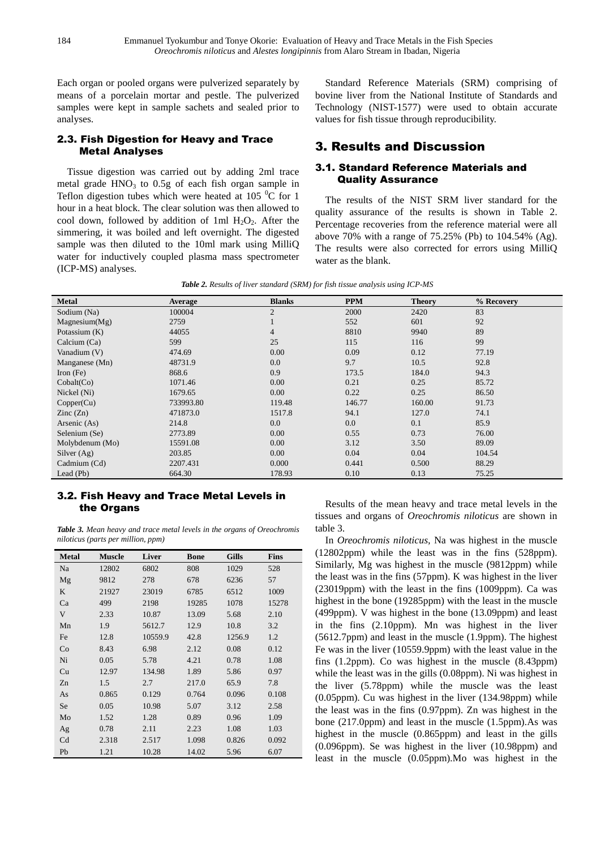Each organ or pooled organs were pulverized separately by means of a porcelain mortar and pestle. The pulverized samples were kept in sample sachets and sealed prior to analyses.

## 2.3. Fish Digestion for Heavy and Trace Metal Analyses

Tissue digestion was carried out by adding 2ml trace metal grade  $HNO<sub>3</sub>$  to 0.5g of each fish organ sample in Teflon digestion tubes which were heated at 105 $\mathrm{^{0}C}$  for 1 hour in a heat block. The clear solution was then allowed to cool down, followed by addition of 1ml  $H_2O_2$ . After the simmering, it was boiled and left overnight. The digested sample was then diluted to the 10ml mark using MilliQ water for inductively coupled plasma mass spectrometer (ICP-MS) analyses.

Standard Reference Materials (SRM) comprising of bovine liver from the National Institute of Standards and Technology (NIST-1577) were used to obtain accurate values for fish tissue through reproducibility.

## 3. Results and Discussion

#### 3.1. Standard Reference Materials and Quality Assurance

The results of the NIST SRM liver standard for the quality assurance of the results is shown in Table 2. Percentage recoveries from the reference material were all above 70% with a range of 75.25% (Pb) to 104.54% (Ag). The results were also corrected for errors using MilliQ water as the blank.

| <b>Metal</b>             | Average   | <b>Blanks</b>  | <b>PPM</b> | <b>Theory</b> | % Recovery |
|--------------------------|-----------|----------------|------------|---------------|------------|
| Sodium (Na)              | 100004    | $\overline{2}$ | 2000       | 2420          | 83         |
| Magnesium(Mg)            | 2759      | $\mathbf{I}$   | 552        | 601           | 92         |
| Potassium (K)            | 44055     | $\overline{4}$ | 8810       | 9940          | 89         |
| Calcium (Ca)             | 599       | 25             | 115        | 116           | 99         |
| Vanadium (V)             | 474.69    | 0.00           | 0.09       | 0.12          | 77.19      |
| Manganese (Mn)           | 48731.9   | 0.0            | 9.7        | 10.5          | 92.8       |
| Iron $(Fe)$              | 868.6     | 0.9            | 173.5      | 184.0         | 94.3       |
| Cobalt(Co)               | 1071.46   | 0.00           | 0.21       | 0.25          | 85.72      |
| Nickel (Ni)              | 1679.65   | 0.00           | 0.22       | 0.25          | 86.50      |
| Copper(Cu)               | 733993.80 | 119.48         | 146.77     | 160.00        | 91.73      |
| $\text{Zinc}(\text{Zn})$ | 471873.0  | 1517.8         | 94.1       | 127.0         | 74.1       |
| Arsenic (As)             | 214.8     | 0.0            | 0.0        | 0.1           | 85.9       |
| Selenium (Se)            | 2773.89   | 0.00           | 0.55       | 0.73          | 76.00      |
| Molybdenum (Mo)          | 15591.08  | 0.00           | 3.12       | 3.50          | 89.09      |
| Silver $(Ag)$            | 203.85    | 0.00           | 0.04       | 0.04          | 104.54     |
| Cadmium (Cd)             | 2207.431  | 0.000          | 0.441      | 0.500         | 88.29      |
| Lead $(Pb)$              | 664.30    | 178.93         | 0.10       | 0.13          | 75.25      |

|  |  |  | <b>Table 2.</b> Results of liver standard (SRM) for fish tissue analysis using ICP-MS |
|--|--|--|---------------------------------------------------------------------------------------|
|  |  |  |                                                                                       |

#### 3.2. Fish Heavy and Trace Metal Levels in the Organs

*Table 3. Mean heavy and trace metal levels in the organs of Oreochromis niloticus (parts per million, ppm)* 

| <b>Metal</b> | <b>Muscle</b> | Liver   | <b>Bone</b> | <b>Gills</b> | <b>Fins</b> |
|--------------|---------------|---------|-------------|--------------|-------------|
| Na           | 12802         | 6802    | 808         | 1029         | 528         |
| Mg           | 9812          | 278     | 678         | 6236         | 57          |
| K            | 21927         | 23019   | 6785        | 6512         | 1009        |
| Ca           | 499           | 2198    | 19285       | 1078         | 15278       |
| V            | 2.33          | 10.87   | 13.09       | 5.68         | 2.10        |
| Mn           | 1.9           | 5612.7  | 12.9        | 10.8         | 3.2         |
| Fe           | 12.8          | 10559.9 | 42.8        | 1256.9       | 1.2         |
| Co           | 8.43          | 6.98    | 2.12        | 0.08         | 0.12        |
| Ni           | 0.05          | 5.78    | 4.21        | 0.78         | 1.08        |
| Cu           | 12.97         | 134.98  | 1.89        | 5.86         | 0.97        |
| Zn           | 1.5           | 2.7     | 217.0       | 65.9         | 7.8         |
| As           | 0.865         | 0.129   | 0.764       | 0.096        | 0.108       |
| Se           | 0.05          | 10.98   | 5.07        | 3.12         | 2.58        |
| Mo           | 1.52          | 1.28    | 0.89        | 0.96         | 1.09        |
| Ag           | 0.78          | 2.11    | 2.23        | 1.08         | 1.03        |
| Cd           | 2.318         | 2.517   | 1.098       | 0.826        | 0.092       |
| Pb           | 1.21          | 10.28   | 14.02       | 5.96         | 6.07        |

Results of the mean heavy and trace metal levels in the tissues and organs of *Oreochromis niloticus* are shown in table 3.

In *Oreochromis niloticus,* Na was highest in the muscle (12802ppm) while the least was in the fins (528ppm). Similarly, Mg was highest in the muscle (9812ppm) while the least was in the fins (57ppm). K was highest in the liver (23019ppm) with the least in the fins (1009ppm). Ca was highest in the bone (19285ppm) with the least in the muscle (499ppm). V was highest in the bone (13.09ppm) and least in the fins (2.10ppm). Mn was highest in the liver (5612.7ppm) and least in the muscle (1.9ppm). The highest Fe was in the liver (10559.9ppm) with the least value in the fins (1.2ppm). Co was highest in the muscle (8.43ppm) while the least was in the gills (0.08ppm). Ni was highest in the liver (5.78ppm) while the muscle was the least (0.05ppm). Cu was highest in the liver (134.98ppm) while the least was in the fins (0.97ppm). Zn was highest in the bone (217.0ppm) and least in the muscle (1.5ppm).As was highest in the muscle (0.865ppm) and least in the gills (0.096ppm). Se was highest in the liver (10.98ppm) and least in the muscle (0.05ppm).Mo was highest in the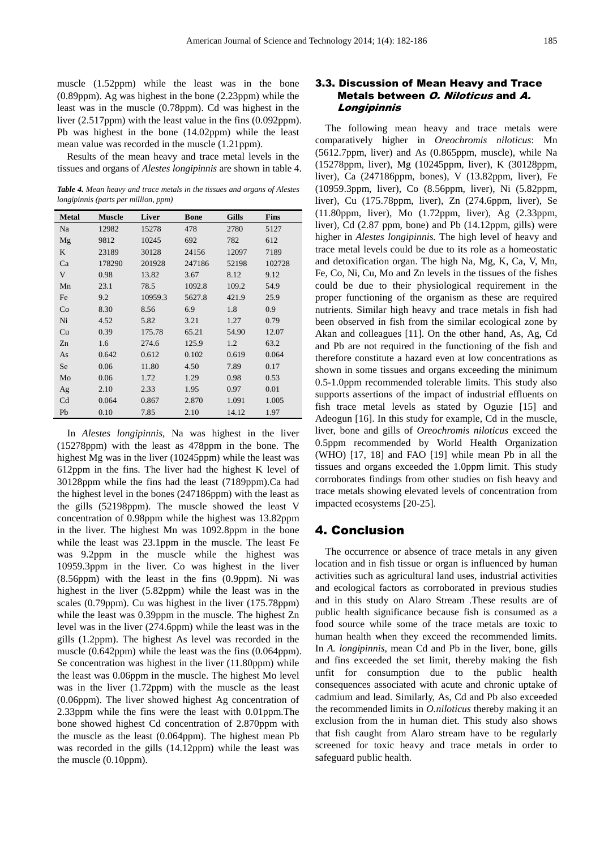muscle (1.52ppm) while the least was in the bone (0.89ppm). Ag was highest in the bone (2.23ppm) while the least was in the muscle (0.78ppm). Cd was highest in the liver (2.517ppm) with the least value in the fins (0.092ppm). Pb was highest in the bone (14.02ppm) while the least mean value was recorded in the muscle (1.21ppm).

Results of the mean heavy and trace metal levels in the tissues and organs of *Alestes longipinnis* are shown in table 4.

*Table 4. Mean heavy and trace metals in the tissues and organs of Alestes longipinnis (parts per million, ppm)*

| <b>Metal</b> | <b>Muscle</b> | <b>Liver</b> | <b>Bone</b> | <b>Gills</b> | <b>Fins</b> |
|--------------|---------------|--------------|-------------|--------------|-------------|
| Na           | 12982         | 15278        | 478         | 2780         | 5127        |
| Mg           | 9812          | 10245        | 692         | 782          | 612         |
| K            | 23189         | 30128        | 24156       | 12097        | 7189        |
| Ca           | 178290        | 201928       | 247186      | 52198        | 102728      |
| $\mathbf V$  | 0.98          | 13.82        | 3.67        | 8.12         | 9.12        |
| Mn           | 23.1          | 78.5         | 1092.8      | 109.2        | 54.9        |
| Fe           | 9.2           | 10959.3      | 5627.8      | 421.9        | 25.9        |
| Co           | 8.30          | 8.56         | 6.9         | 1.8          | 0.9         |
| Ni           | 4.52          | 5.82         | 3.21        | 1.27         | 0.79        |
| Cu           | 0.39          | 175.78       | 65.21       | 54.90        | 12.07       |
| Zn           | 1.6           | 274.6        | 125.9       | 1.2          | 63.2        |
| As           | 0.642         | 0.612        | 0.102       | 0.619        | 0.064       |
| Se           | 0.06          | 11.80        | 4.50        | 7.89         | 0.17        |
| Mo           | 0.06          | 1.72         | 1.29        | 0.98         | 0.53        |
| Ag           | 2.10          | 2.33         | 1.95        | 0.97         | 0.01        |
| Cd           | 0.064         | 0.867        | 2.870       | 1.091        | 1.005       |
| Pb           | 0.10          | 7.85         | 2.10        | 14.12        | 1.97        |

In *Alestes longipinnis,* Na was highest in the liver (15278ppm) with the least as 478ppm in the bone. The highest Mg was in the liver (10245ppm) while the least was 612ppm in the fins. The liver had the highest K level of 30128ppm while the fins had the least (7189ppm).Ca had the highest level in the bones (247186ppm) with the least as the gills (52198ppm). The muscle showed the least V concentration of 0.98ppm while the highest was 13.82ppm in the liver. The highest Mn was 1092.8ppm in the bone while the least was 23.1ppm in the muscle. The least Fe was 9.2ppm in the muscle while the highest was 10959.3ppm in the liver. Co was highest in the liver (8.56ppm) with the least in the fins (0.9ppm). Ni was highest in the liver (5.82ppm) while the least was in the scales (0.79ppm). Cu was highest in the liver (175.78ppm) while the least was 0.39ppm in the muscle. The highest Zn level was in the liver (274.6ppm) while the least was in the gills (1.2ppm). The highest As level was recorded in the muscle (0.642ppm) while the least was the fins (0.064ppm). Se concentration was highest in the liver (11.80ppm) while the least was 0.06ppm in the muscle. The highest Mo level was in the liver (1.72ppm) with the muscle as the least (0.06ppm). The liver showed highest Ag concentration of 2.33ppm while the fins were the least with 0.01ppm.The bone showed highest Cd concentration of 2.870ppm with the muscle as the least (0.064ppm). The highest mean Pb was recorded in the gills (14.12ppm) while the least was the muscle (0.10ppm).

#### 3.3. Discussion of Mean Heavy and Trace Metals between O. Niloticus and A. Longipinnis

The following mean heavy and trace metals were comparatively higher in *Oreochromis niloticus*: Mn (5612.7ppm, liver) and As (0.865ppm, muscle), while Na (15278ppm, liver), Mg (10245ppm, liver), K (30128ppm, liver), Ca (247186ppm, bones), V (13.82ppm, liver), Fe (10959.3ppm, liver), Co (8.56ppm, liver), Ni (5.82ppm, liver), Cu (175.78ppm, liver), Zn (274.6ppm, liver), Se (11.80ppm, liver), Mo (1.72ppm, liver), Ag (2.33ppm, liver), Cd (2.87 ppm, bone) and Pb (14.12ppm, gills) were higher in *Alestes longipinnis.* The high level of heavy and trace metal levels could be due to its role as a homeostatic and detoxification organ. The high Na, Mg, K, Ca, V, Mn, Fe, Co, Ni, Cu, Mo and Zn levels in the tissues of the fishes could be due to their physiological requirement in the proper functioning of the organism as these are required nutrients. Similar high heavy and trace metals in fish had been observed in fish from the similar ecological zone by Akan and colleagues [11]. On the other hand, As, Ag, Cd and Pb are not required in the functioning of the fish and therefore constitute a hazard even at low concentrations as shown in some tissues and organs exceeding the minimum 0.5-1.0ppm recommended tolerable limits. This study also supports assertions of the impact of industrial effluents on fish trace metal levels as stated by Oguzie [15] and Adeogun [16]. In this study for example, Cd in the muscle, liver, bone and gills of *Oreochromis niloticus* exceed the 0.5ppm recommended by World Health Organization (WHO) [17, 18] and FAO [19] while mean Pb in all the tissues and organs exceeded the 1.0ppm limit. This study corroborates findings from other studies on fish heavy and trace metals showing elevated levels of concentration from impacted ecosystems [20-25].

## 4. Conclusion

The occurrence or absence of trace metals in any given location and in fish tissue or organ is influenced by human activities such as agricultural land uses, industrial activities and ecological factors as corroborated in previous studies and in this study on Alaro Stream .These results are of public health significance because fish is consumed as a food source while some of the trace metals are toxic to human health when they exceed the recommended limits. In *A. longipinnis*, mean Cd and Pb in the liver, bone, gills and fins exceeded the set limit, thereby making the fish unfit for consumption due to the public health consequences associated with acute and chronic uptake of cadmium and lead. Similarly, As, Cd and Pb also exceeded the recommended limits in *O.niloticus* thereby making it an exclusion from the in human diet. This study also shows that fish caught from Alaro stream have to be regularly screened for toxic heavy and trace metals in order to safeguard public health.